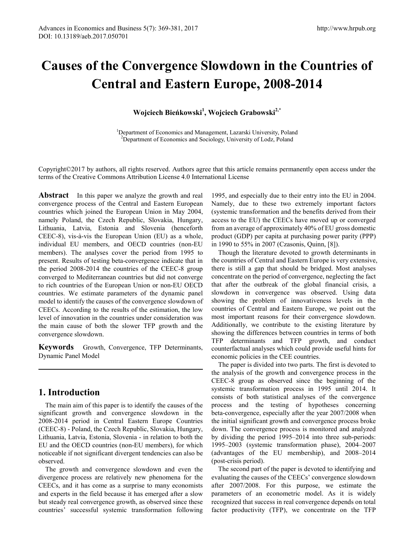# **Causes of the Convergence Slowdown in the Countries of Central and Eastern Europe, 2008-2014**

**Wojciech Bieńkowski<sup>1</sup> , Wojciech Grabowski2,\*** 

<sup>1</sup>Department of Economics and Management, Lazarski University, Poland <sup>2</sup>Department of Economics and Sociology, University of Lody Poland <sup>2</sup>Department of Economics and Sociology, University of Lodz, Poland

Copyright©2017 by authors, all rights reserved. Authors agree that this article remains permanently open access under the terms of the Creative Commons Attribution License 4.0 International License

**Abstract** In this paper we analyze the growth and real convergence process of the Central and Eastern European countries which joined the European Union in May 2004, namely Poland, the Czech Republic, Slovakia, Hungary, Lithuania, Latvia, Estonia and Slovenia (henceforth CEEC-8), vis-à-vis the European Union (EU) as a whole, individual EU members, and OECD countries (non-EU members). The analyses cover the period from 1995 to present. Results of testing beta-convergence indicate that in the period 2008-2014 the countries of the CEEC-8 group converged to Mediterranean countries but did not converge to rich countries of the European Union or non-EU OECD countries. We estimate parameters of the dynamic panel model to identify the causes of the convergence slowdown of CEECs. According to the results of the estimation, the low level of innovation in the countries under consideration was the main cause of both the slower TFP growth and the convergence slowdown.

**Keywords** Growth, Convergence, TFP Determinants, Dynamic Panel Model

## **1. Introduction**

The main aim of this paper is to identify the causes of the significant growth and convergence slowdown in the 2008-2014 period in Central Eastern Europe Countries (CEEC-8) - Poland, the Czech Republic, Slovakia, Hungary, Lithuania, Latvia, Estonia, Slovenia - in relation to both the EU and the OECD countries (non-EU members), for which noticeable if not significant divergent tendencies can also be observed.

The growth and convergence slowdown and even the divergence process are relatively new phenomena for the CEECs, and it has come as a surprise to many economists and experts in the field because it has emerged after a slow but steady real convergence growth, as observed since these countries' successful systemic transformation following

1995, and especially due to their entry into the EU in 2004. Namely, due to these two extremely important factors (systemic transformation and the benefits derived from their access to the EU) the CEECs have moved up or converged from an average of approximately 40% of EU gross domestic product (GDP) per capita at purchasing power parity (PPP) in 1990 to 55% in 2007 (Czasonis, Quinn, [8]).

Though the literature devoted to growth determinants in the countries of Central and Eastern Europe is very extensive, there is still a gap that should be bridged. Most analyses concentrate on the period of convergence, neglecting the fact that after the outbreak of the global financial crisis, a slowdown in convergence was observed. Using data showing the problem of innovativeness levels in the countries of Central and Eastern Europe, we point out the most important reasons for their convergence slowdown. Additionally, we contribute to the existing literature by showing the differences between countries in terms of both TFP determinants and TFP growth, and conduct counterfactual analyses which could provide useful hints for economic policies in the CEE countries.

The paper is divided into two parts. The first is devoted to the analysis of the growth and convergence process in the CEEC-8 group as observed since the beginning of the systemic transformation process in 1995 until 2014. It consists of both statistical analyses of the convergence process and the testing of hypotheses concerning beta-convergence, especially after the year 2007/2008 when the initial significant growth and convergence process broke down. The convergence process is monitored and analyzed by dividing the period 1995–2014 into three sub-periods: 1995–2003 (systemic transformation phase), 2004–2007 (advantages of the EU membership), and 2008–2014 (post-crisis period).

The second part of the paper is devoted to identifying and evaluating the causes of the CEECs' convergence slowdown after 2007/2008. For this purpose, we estimate the parameters of an econometric model. As it is widely recognized that success in real convergence depends on total factor productivity (TFP), we concentrate on the TFP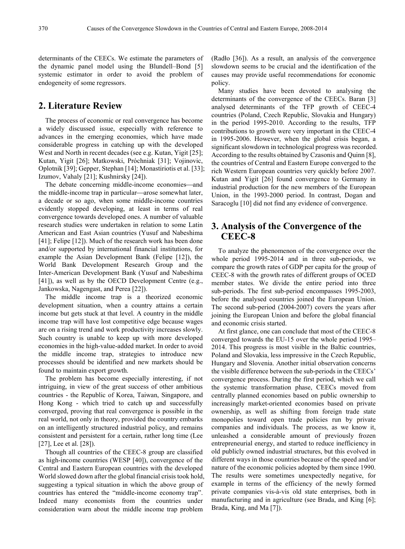determinants of the CEECs. We estimate the parameters of the dynamic panel model using the Blundell–Bond [5] systemic estimator in order to avoid the problem of endogeneity of some regressors.

### **2. Literature Review**

The process of economic or real convergence has become a widely discussed issue, especially with reference to advances in the emerging economies, which have made considerable progress in catching up with the developed West and North in recent decades (see e.g. Kutan, Yigit [25]; Kutan, Yigit [26]; Matkowski, Próchniak [31]; Vojinovic, Oplotnik [39]; Gepper, Stephan [14]; Monastiriotis et al. [33]; Izumov, Vahaly [21]; Kushnirsky [24]).

The debate concerning middle-income economies—and the middle-income trap in particular—arose somewhat later, a decade or so ago, when some middle-income countries evidently stopped developing, at least in terms of real convergence towards developed ones. A number of valuable research studies were undertaken in relation to some Latin American and East Asian countries (Yusuf and Nabeshima [41]; Felipe [12]). Much of the research work has been done and/or supported by international financial institutions, for example the Asian Development Bank (Felipe [12]), the World Bank Development Research Group and the Inter-American Development Bank (Yusuf and Nabeshima [41]), as well as by the OECD Development Centre (e.g., Jankowska, Nagengast, and Perea [22]).

The middle income trap is a theorized economic development situation, when a country attains a certain income but gets stuck at that level. A country in the middle income trap will have lost competitive edge because wages are on a rising trend and work productivity increases slowly. Such country is unable to keep up with more developed economies in the high-value-added market. In order to avoid the middle income trap, strategies to introduce new processes should be identified and new markets should be found to maintain export growth.

The problem has become especially interesting, if not intriguing, in view of the great success of other ambitious countries - the Republic of Korea, Taiwan, Singapore, and Hong Kong - which tried to catch up and successfully converged, proving that real convergence is possible in the real world, not only in theory, provided the country embarks on an intelligently structured industrial policy, and remains consistent and persistent for a certain, rather long time (Lee [27], Lee et al. [28]).

Though all countries of the CEEC-8 group are classified as high-income countries (WESP [40]), convergence of the Central and Eastern European countries with the developed World slowed down after the global financial crisis took hold, suggesting a typical situation in which the above group of countries has entered the "middle-income economy trap". Indeed many economists from the countries under consideration warn about the middle income trap problem

(Radło [36]). As a result, an analysis of the convergence slowdown seems to be crucial and the identification of the causes may provide useful recommendations for economic policy.

Many studies have been devoted to analysing the determinants of the convergence of the CEECs. Baran [3] analysed determinants of the TFP growth of CEEC-4 countries (Poland, Czech Republic, Slovakia and Hungary) in the period 1995-2010. According to the results, TFP contributions to growth were very important in the CEEC-4 in 1995-2006. However, when the global crisis began, a significant slowdown in technological progress was recorded. According to the results obtained by Czasonis and Quinn [8], the countries of Central and Eastern Europe converged to the rich Western European countries very quickly before 2007. Kutan and Yigit [26] found convergence to Germany in industrial production for the new members of the European Union, in the 1993-2000 period. In contrast, Dogan and Saracoglu [10] did not find any evidence of convergence.

## **3. Analysis of the Convergence of the CEEC-8**

To analyze the phenomenon of the convergence over the whole period 1995-2014 and in three sub-periods, we compare the growth rates of GDP per capita for the group of CEEC-8 with the growth rates of different groups of OCED member states. We divide the entire period into three sub-periods. The first sub-period encompasses 1995-2003, before the analysed countries joined the European Union. The second sub-period (2004-2007) covers the years after joining the European Union and before the global financial and economic crisis started.

At first glance, one can conclude that most of the CEEC-8 converged towards the EU-15 over the whole period 1995– 2014. This progress is most visible in the Baltic countries, Poland and Slovakia, less impressive in the Czech Republic, Hungary and Slovenia. Another initial observation concerns the visible difference between the sub-periods in the CEECs' convergence process. During the first period, which we call the systemic transformation phase, CEECs moved from centrally planned economies based on public ownership to increasingly market-oriented economies based on private ownership, as well as shifting from foreign trade state monopolies toward open trade policies run by private companies and individuals. The process, as we know it, unleashed a considerable amount of previously frozen entrepreneurial energy, and started to reduce inefficiency in old publicly owned industrial structures, but this evolved in different ways in those countries because of the speed and/or nature of the economic policies adopted by them since 1990. The results were sometimes unexpectedly negative, for example in terms of the efficiency of the newly formed private companies vis-à-vis old state enterprises, both in manufacturing and in agriculture (see Brada, and King [6]; Brada, King, and Ma [7]).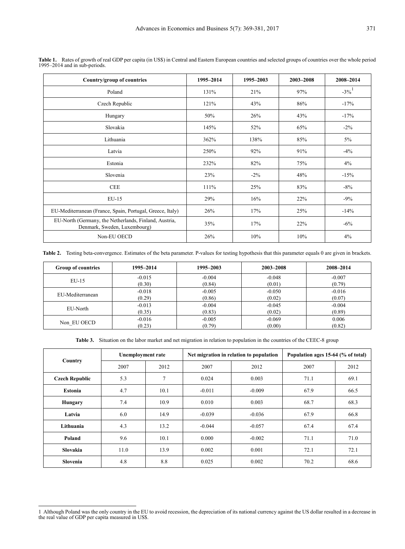| Country/group of countries                                                            | 1995-2014 | 1995-2003 | 2003-2008 | 2008-2014 |
|---------------------------------------------------------------------------------------|-----------|-----------|-----------|-----------|
| Poland                                                                                | 131%      | 21%       | 97%       | $-3\%$    |
| Czech Republic                                                                        | 121%      | 43%       | 86%       | $-17%$    |
| Hungary                                                                               | 50%       | 26%       | 43%       | $-17%$    |
| Slovakia                                                                              | 145%      | 52%       | 65%       | $-2\%$    |
| Lithuania                                                                             | 362%      | 138%      | 85%       | 5%        |
| Latvia                                                                                | 250%      | 92%       | 91%       | $-4\%$    |
| Estonia                                                                               | 232%      | 82%       | 75%       | 4%        |
| Slovenia                                                                              | 23%       | $-2\%$    | 48%       | $-15%$    |
| <b>CEE</b>                                                                            | $111\%$   | 25%       | 83%       | $-8\%$    |
| EU-15                                                                                 | 29%       | 16%       | 22%       | $-9\%$    |
| EU-Mediterranean (France, Spain, Portugal, Greece, Italy)                             | 26%       | 17%       | 25%       | $-14%$    |
| EU-North (Germany, the Netherlands, Finland, Austria,<br>Denmark, Sweden, Luxembourg) | 35%       | 17%       | 22%       | $-6\%$    |
| Non-EU OECD                                                                           | 26%       | 10%       | 10%       | 4%        |

**Table 1.** Rates of growth of real GDP per capita (in US\$) in Central and Eastern European countries and selected groups of countries over the whole period 1995–2014 and in sub-periods.

**Table 2.** Testing beta-convergence. Estimates of the beta parameter. P-values for testing hypothesis that this parameter equals 0 are given in brackets.

| <b>Group of countries</b> | 1995–2014 | 1995–2003 | 2003-2008 | 2008-2014 |
|---------------------------|-----------|-----------|-----------|-----------|
| $EU-15$                   | $-0.015$  | $-0.004$  | $-0.048$  | $-0.007$  |
|                           | (0.30)    | (0.84)    | (0.01)    | (0.79)    |
| EU-Mediterranean          | $-0.018$  | $-0.005$  | $-0.050$  | $-0.016$  |
|                           | (0.29)    | (0.86)    | (0.02)    | (0.07)    |
| EU-North                  | $-0.013$  | $-0.004$  | $-0.045$  | $-0.004$  |
|                           | (0.35)    | (0.83)    | (0.02)    | (0.89)    |
|                           | $-0.016$  | $-0.005$  | $-0.069$  | 0.006     |
| Non EU OECD               | (0.23)    | (0.79)    | (0.00)    | (0.82)    |

**Table 3.** Situation on the labor market and net migration in relation to population in the countries of the CEEC-8 group

|                       | Unemployment rate |      |          | Net migration in relation to population | Population ages 15-64 (% of total) |      |
|-----------------------|-------------------|------|----------|-----------------------------------------|------------------------------------|------|
| Country               | 2007              | 2012 | 2007     | 2012                                    | 2007                               | 2012 |
| <b>Czech Republic</b> | 5.3               | 7    | 0.024    | 0.003                                   | 71.1                               | 69.1 |
| <b>Estonia</b>        | 4.7               | 10.1 | $-0.011$ | $-0.009$                                | 67.9                               | 66.5 |
| <b>Hungary</b>        | 7.4               | 10.9 | 0.010    | 0.003                                   | 68.7                               | 68.3 |
| Latvia                | 6.0               | 14.9 | $-0.039$ | $-0.036$                                | 67.9                               | 66.8 |
| Lithuania             | 4.3               | 13.2 | $-0.044$ | $-0.057$                                | 67.4                               | 67.4 |
| Poland                | 9.6               | 10.1 | 0.000    | $-0.002$                                | 71.1                               | 71.0 |
| Slovakia              | 11.0              | 13.9 | 0.002    | 0.001                                   | 72.1                               | 72.1 |
| Slovenia              | 4.8               | 8.8  | 0.025    | 0.002                                   | 70.2                               | 68.6 |

<span id="page-2-0"></span><sup>-</sup>1 Although Poland was the only country in the EU to avoid recession, the depreciation of its national currency against the US dollar resulted in a decrease in the real value of GDP per capita measured in US\$.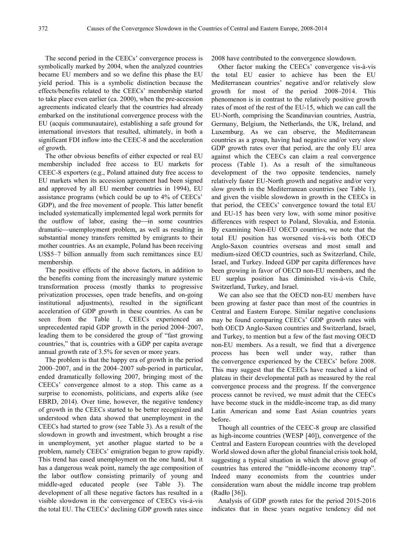The second period in the CEECs' convergence process is symbolically marked by 2004, when the analyzed countries became EU members and so we define this phase the EU yield period. This is a symbolic distinction because the effects/benefits related to the CEECs' membership started to take place even earlier (ca. 2000), when the pre-accession agreements indicated clearly that the countries had already embarked on the institutional convergence process with the EU (acquis communautaire), establishing a safe ground for international investors that resulted, ultimately, in both a significant FDI inflow into the CEEC-8 and the acceleration of growth.

The other obvious benefits of either expected or real EU membership included free access to EU markets for CEEC-8 exporters (e.g., Poland attained duty free access to EU markets when its accession agreement had been signed and approved by all EU member countries in 1994), EU assistance programs (which could be up to 4% of CEECs' GDP), and the free movement of people. This latter benefit included systematically implemented legal work permits for the outflow of labor, easing the in some countries dramatic—unemployment problem, as well as resulting in substantial money transfers remitted by emigrants to their mother countries. As an example, Poland has been receiving US\$5–7 billion annually from such remittances since EU membership.

The positive effects of the above factors, in addition to the benefits coming from the increasingly mature systemic transformation process (mostly thanks to progressive privatization processes, open trade benefits, and on-going institutional adjustments), resulted in the significant acceleration of GDP growth in these countries. As can be seen from the Table 1, CEECs experienced an unprecedented rapid GDP growth in the period 2004–2007, leading them to be considered the group of "fast growing countries," that is, countries with a GDP per capita average annual growth rate of 3.5% for seven or more years.

The problem is that the happy era of growth in the period 2000–2007, and in the 2004–2007 sub-period in particular, ended dramatically following 2007, bringing most of the CEECs' convergence almost to a stop. This came as a surprise to economists, politicians, and experts alike (see EBRD, 2014). Over time, however, the negative tendency of growth in the CEECs started to be better recognized and understood when data showed that unemployment in the CEECs had started to grow (see Table 3). As a result of the slowdown in growth and investment, which brought a rise in unemployment, yet another plague started to be a problem, namely CEECs' emigration began to grow rapidly. This trend has eased unemployment on the one hand, but it has a dangerous weak point, namely the age composition of the labor outflow consisting primarily of young and middle-aged educated people (see Table 3). The development of all these negative factors has resulted in a visible slowdown in the convergence of CEECs vis-à-vis the total EU. The CEECs' declining GDP growth rates since

2008 have contributed to the convergence slowdown.

Other factor making the CEECs' convergence vis-à-vis the total EU easier to achieve has been the EU Mediterranean countries' negative and/or relatively slow growth for most of the period 2008–2014. This phenomenon is in contrast to the relatively positive growth rates of most of the rest of the EU-15, which we can call the EU-North, comprising the Scandinavian countries, Austria, Germany, Belgium, the Netherlands, the UK, Ireland, and Luxemburg. As we can observe, the Mediterranean countries as a group, having had negative and/or very slow GDP growth rates over that period, are the only EU area against which the CEECs can claim a real convergence process (Table 1). As a result of the simultaneous development of the two opposite tendencies, namely relatively faster EU-North growth and negative and/or very slow growth in the Mediterranean countries (see Table 1), and given the visible slowdown in growth in the CEECs in that period, the CEECs' convergence toward the total EU and EU-15 has been very low, with some minor positive differences with respect to Poland, Slovakia, and Estonia. By examining Non-EU OECD countries, we note that the total EU position has worsened vis-à-vis both OECD Anglo-Saxon countries overseas and most small and medium-sized OECD countries, such as Switzerland, Chile, Israel, and Turkey. Indeed GDP per capita differences have been growing in favor of OECD non-EU members, and the EU surplus position has diminished vis-à-vis Chile, Switzerland, Turkey, and Israel.

We can also see that the OECD non-EU members have been growing at faster pace than most of the countries in Central and Eastern Europe. Similar negative conclusions may be found comparing CEECs' GDP growth rates with both OECD Anglo-Saxon countries and Switzerland, Israel, and Turkey, to mention but a few of the fast moving OECD non-EU members. As a result, we find that a divergence process has been well under way, rather than the convergence experienced by the CEECs' before 2008. This may suggest that the CEECs have reached a kind of plateau in their developmental path as measured by the real convergence process and the progress. If the convergence process cannot be revived, we must admit that the CEECs have become stuck in the middle-income trap, as did many Latin American and some East Asian countries years before.

Though all countries of the CEEC-8 group are classified as high-income countries (WESP [40]), convergence of the Central and Eastern European countries with the developed World slowed down after the global financial crisis took hold, suggesting a typical situation in which the above group of countries has entered the "middle-income economy trap". Indeed many economists from the countries under consideration warn about the middle income trap problem (Radło [36]).

Analysis of GDP growth rates for the period 2015-2016 indicates that in these years negative tendency did not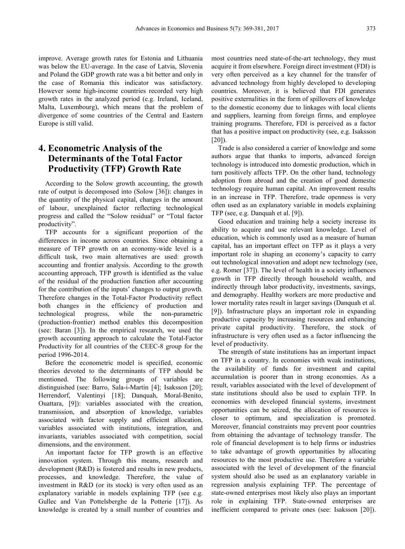improve. Average growth rates for Estonia and Lithuania was below the EU-average. In the case of Latvia, Slovenia and Poland the GDP growth rate was a bit better and only in the case of Romania this indicator was satisfactory. However some high-income countries recorded very high growth rates in the analyzed period (e.g. Ireland, Iceland, Malta, Luxembourg), which means that the problem of divergence of some countries of the Central and Eastern Europe is still valid.

# **4. Econometric Analysis of the Determinants of the Total Factor Productivity (TFP) Growth Rate**

According to the Solow growth accounting, the growth rate of output is decomposed into (Solow [36]): changes in the quantity of the physical capital, changes in the amount of labour, unexplained factor reflecting technological progress and called the "Solow residual" or "Total factor productivity".

TFP accounts for a significant proportion of the differences in income across countries. Since obtaining a measure of TFP growth on an economy-wide level is a difficult task, two main alternatives are used: growth accounting and frontier analysis. According to the growth accounting approach, TFP growth is identified as the value of the residual of the production function after accounting for the contribution of the inputs' changes to output growth. Therefore changes in the Total-Factor Productivity reflect both changes in the efficiency of production and technological progress, while the non-parametric (production-frontier) method enables this decomposition (see: Baran [3]). In the empirical research, we used the growth accounting approach to calculate the Total-Factor Productivity for all countries of the CEEC-8 group for the period 1996-2014.

Before the econometric model is specified, economic theories devoted to the determinants of TFP should be mentioned. The following groups of variables are distinguished (see: Barro, Sala-i-Martin [4]; Isaksson [20]; Herrendorf, Valentinyi [18]; Danquah, Moral-Benito, Ouattara, [9]): variables associated with the creation, transmission, and absorption of knowledge, variables associated with factor supply and efficient allocation, variables associated with institutions, integration, and invariants, variables associated with competition, social dimensions, and the environment.

An important factor for TFP growth is an effective innovation system. Through this means, research and development (R&D) is fostered and results in new products, processes, and knowledge. Therefore, the value of investment in R&D (or its stock) is very often used as an explanatory variable in models explaining TFP (see e.g. Gullec and Van Pottelsberghe de la Potterie [17]). As knowledge is created by a small number of countries and

most countries need state-of-the-art technology, they must acquire it from elsewhere. Foreign direct investment (FDI) is very often perceived as a key channel for the transfer of advanced technology from highly developed to developing countries. Moreover, it is believed that FDI generates positive externalities in the form of spillovers of knowledge to the domestic economy due to linkages with local clients and suppliers, learning from foreign firms, and employee training programs. Therefore, FDI is perceived as a factor that has a positive impact on productivity (see, e.g. Isaksson  $[20]$ ).

Trade is also considered a carrier of knowledge and some authors argue that thanks to imports, advanced foreign technology is introduced into domestic production, which in turn positively affects TFP. On the other hand, technology adoption from abroad and the creation of good domestic technology require human capital. An improvement results in an increase in TFP. Therefore, trade openness is very often used as an explanatory variable in models explaining TFP (see, e.g. Danquah et al. [9]).

Good education and training help a society increase its ability to acquire and use relevant knowledge. Level of education, which is commonly used as a measure of human capital, has an important effect on TFP as it plays a very important role in shaping an economy's capacity to carry out technological innovation and adopt new technology (see, e.g. Romer [37]). The level of health in a society influences growth in TFP directly through household wealth, and indirectly through labor productivity, investments, savings, and demography. Healthy workers are more productive and lower mortality rates result in larger savings (Danquah et al. [9]). Infrastructure plays an important role in expanding productive capacity by increasing resources and enhancing private capital productivity. Therefore, the stock of infrastructure is very often used as a factor influencing the level of productivity.

The strength of state institutions has an important impact on TFP in a country. In economies with weak institutions, the availability of funds for investment and capital accumulation is poorer than in strong economies. As a result, variables associated with the level of development of state institutions should also be used to explain TFP. In economies with developed financial systems, investment opportunities can be seized, the allocation of resources is closer to optimum, and specialization is promoted. Moreover, financial constraints may prevent poor countries from obtaining the advantage of technology transfer. The role of financial development is to help firms or industries to take advantage of growth opportunities by allocating resources to the most productive use. Therefore a variable associated with the level of development of the financial system should also be used as an explanatory variable in regression analysis explaining TFP. The percentage of state-owned enterprises most likely also plays an important role in explaining TFP. State-owned enterprises are inefficient compared to private ones (see: Isaksson [20]).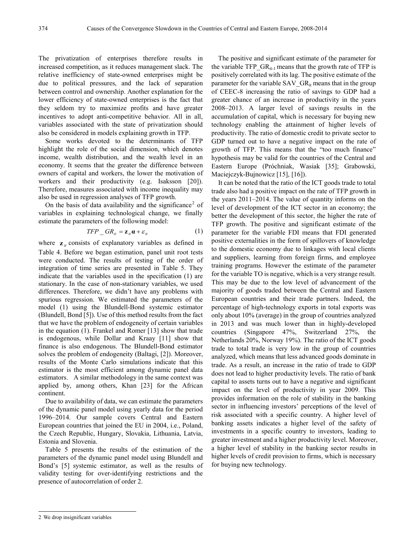The privatization of enterprises therefore results in increased competition, as it reduces management slack. The relative inefficiency of state-owned enterprises might be due to political pressures, and the lack of separation between control and ownership. Another explanation for the lower efficiency of state-owned enterprises is the fact that they seldom try to maximize profits and have greater incentives to adopt anti-competitive behavior. All in all, variables associated with the state of privatization should also be considered in models explaining growth in TFP.

Some works devoted to the determinants of TFP highlight the role of the social dimension, which denotes income, wealth distribution, and the wealth level in an economy. It seems that the greater the difference between owners of capital and workers, the lower the motivation of workers and their productivity (e.g. Isaksson [20]). Therefore, measures associated with income inequality may also be used in regression analyses of TFP growth.

On the basis of data availability and the significance<sup>[2](#page-5-0)</sup> of variables in explaining technological change, we finally estimate the parameters of the following model:

$$
TFP\_GR_{it} = \mathbf{z}_{it}\mathbf{\alpha} + \varepsilon_{it}
$$
 (1)

where  $\mathbf{z}_i$  consists of explanatory variables as defined in Table 4. Before we began estimation, panel unit root tests were conducted. The results of testing of the order of integration of time series are presented in Table 5. They indicate that the variables used in the specification (1) are stationary. In the case of non-stationary variables, we used differences. Therefore, we didn't have any problems with spurious regression. We estimated the parameters of the model (1) using the Blundell-Bond systemic estimator (Blundell, Bond [5]). Use of this method results from the fact that we have the problem of endogeneity of certain variables in the equation (1). Frankel and Romer [13] show that trade is endogenous, while Dollar and Kraay [11] show that finance is also endogenous. The Blundell-Bond estimator solves the problem of endogeneity (Baltagi, [2]). Moreover, results of the Monte Carlo simulations indicate that this estimator is the most efficient among dynamic panel data estimators. A similar methodology in the same context was applied by, among others, Khan [23] for the African continent.

Due to availability of data, we can estimate the parameters of the dynamic panel model using yearly data for the period 1996–2014. Our sample covers Central and Eastern European countries that joined the EU in 2004, i.e., Poland, the Czech Republic, Hungary, Slovakia, Lithuania, Latvia, Estonia and Slovenia.

Table 5 presents the results of the estimation of the parameters of the dynamic panel model using Blundell and Bond's [5] systemic estimator, as well as the results of validity testing for over-identifying restrictions and the presence of autocorrelation of order 2.

The positive and significant estimate of the parameter for the variable TFP  $GR_{it-1}$  means that the growth rate of TFP is positively correlated with its lag. The positive estimate of the parameter for the variable SAV  $GR_{it}$  means that in the group of CEEC-8 increasing the ratio of savings to GDP had a greater chance of an increase in productivity in the years 2008–2013. A larger level of savings results in the accumulation of capital, which is necessary for buying new technology enabling the attainment of higher levels of productivity. The ratio of domestic credit to private sector to GDP turned out to have a negative impact on the rate of growth of TFP. This means that the "too much finance" hypothesis may be valid for the countries of the Central and Eastern Europe (Próchniak, Wasiak [35]; Grabowski, Maciejczyk-Bujnowicz [15], [16]).

It can be noted that the ratio of the ICT goods trade to total trade also had a positive impact on the rate of TFP growth in the years 2011–2014. The value of quantity informs on the level of development of the ICT sector in an economy; the better the development of this sector, the higher the rate of TFP growth. The positive and significant estimate of the parameter for the variable FDI means that FDI generated positive externalities in the form of spillovers of knowledge to the domestic economy due to linkages with local clients and suppliers, learning from foreign firms, and employee training programs. However the estimate of the parameter for the variable TO is negative, which is a very strange result. This may be due to the low level of advancement of the majority of goods traded between the Central and Eastern European countries and their trade partners. Indeed, the percentage of high-technology exports in total exports was only about 10% (average) in the group of countries analyzed in 2013 and was much lower than in highly-developed countries (Singapore 47%, Switzerland 27%, the Netherlands 20%, Norway 19%). The ratio of the ICT goods trade to total trade is very low in the group of countries analyzed, which means that less advanced goods dominate in trade. As a result, an increase in the ratio of trade to GDP does not lead to higher productivity levels. The ratio of bank capital to assets turns out to have a negative and significant impact on the level of productivity in year 2009. This provides information on the role of stability in the banking sector in influencing investors' perceptions of the level of risk associated with a specific country. A higher level of banking assets indicates a higher level of the safety of investments in a specific country to investors, leading to greater investment and a higher productivity level. Moreover, a higher level of stability in the banking sector results in higher levels of credit provision to firms, which is necessary for buying new technology.

<span id="page-5-0"></span><sup>-</sup>2 We drop insignificant variables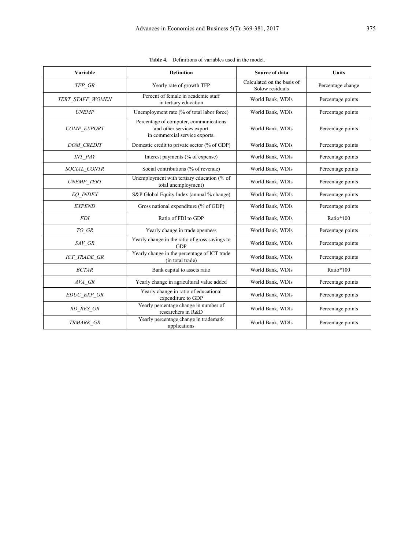| Variable                             | <b>Definition</b>                                                                                     | Source of data                                |                   |
|--------------------------------------|-------------------------------------------------------------------------------------------------------|-----------------------------------------------|-------------------|
| TFP GR                               | Yearly rate of growth TFP                                                                             | Calculated on the basis of<br>Solow residuals | Percentage change |
| TERT STAFF WOMEN                     | Percent of female in academic staff<br>in tertiary education                                          | World Bank, WDIs                              | Percentage points |
| <b>UNEMP</b>                         | Unemployment rate (% of total labor force)                                                            | World Bank, WDIs                              | Percentage points |
| COMP EXPORT                          | Percentage of computer, communications<br>and other services export<br>in commercial service exports. | World Bank, WDIs                              | Percentage points |
| <b>DOM CREDIT</b>                    | Domestic credit to private sector (% of GDP)                                                          | World Bank, WDIs                              | Percentage points |
| <b>INT PAY</b>                       | Interest payments (% of expense)                                                                      | World Bank, WDIs                              | Percentage points |
| SOCIAL_CONTR                         | Social contributions (% of revenue)                                                                   | World Bank, WDIs                              | Percentage points |
| <b>UNEMP TERT</b>                    | Unemployment with tertiary education (% of<br>total unemployment)                                     | World Bank, WDIs                              | Percentage points |
| <b>EO INDEX</b>                      | S&P Global Equity Index (annual % change)                                                             | World Bank, WDIs                              | Percentage points |
| <b>EXPEND</b>                        | Gross national expenditure (% of GDP)                                                                 | World Bank, WDIs                              | Percentage points |
| <b>FDI</b>                           | Ratio of FDI to GDP                                                                                   | World Bank, WDIs                              | Ratio*100         |
| $TO\_GR$                             | Yearly change in trade openness                                                                       | World Bank, WDIs                              | Percentage points |
| $SAV$ <sub>_</sub> $GR$              | Yearly change in the ratio of gross savings to<br><b>GDP</b>                                          | World Bank, WDIs                              | Percentage points |
| <b>ICT_TRADE_GR</b>                  | Yearly change in the percentage of ICT trade<br>(in total trade)                                      | World Bank, WDIs                              | Percentage points |
| <b>BCTAR</b>                         | Bank capital to assets ratio                                                                          | World Bank, WDIs                              | Ratio*100         |
| $AVA$ <sub><math>-</math></sub> $GR$ | Yearly change in agricultural value added                                                             | World Bank, WDIs                              | Percentage points |
| EDUC_EXP_GR                          | Yearly change in ratio of educational<br>expenditure to GDP                                           | World Bank, WDIs                              | Percentage points |
| RD_RES_GR                            | Yearly percentage change in number of<br>researchers in R&D                                           | World Bank, WDIs<br>Percentage points         |                   |
| TRMARK GR                            | Yearly percentage change in trademark<br>applications                                                 | World Bank, WDIs<br>Percentage points         |                   |

**Table 4.** Definitions of variables used in the model.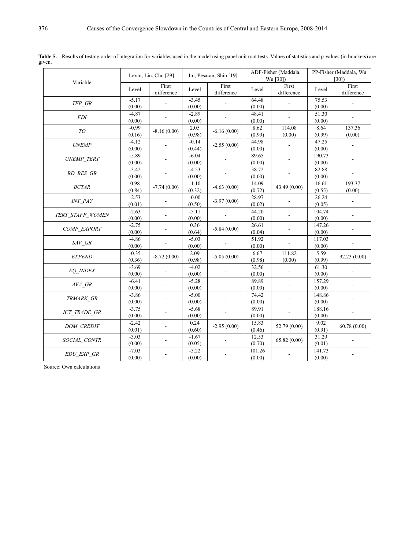|                                  |                   | Levin, Lin, Chu [29] |                   |                        |                  | ADF-Fisher (Maddala, |                  | PP-Fisher (Maddala, Wu |  |
|----------------------------------|-------------------|----------------------|-------------------|------------------------|------------------|----------------------|------------------|------------------------|--|
| Variable                         |                   |                      |                   | Im, Pesaran, Shin [19] |                  | Wu [30])             |                  | [30]                   |  |
|                                  | Level             | First<br>difference  | Level             | First<br>difference    | Level            | First<br>difference  | Level            | First<br>difference    |  |
| $TFP\;$ $GR$                     | $-5.17$<br>(0.00) |                      | $-3.45$<br>(0.00) |                        | 64.48<br>(0.00)  |                      | 75.53<br>(0.00)  |                        |  |
| ${\cal FDI}$                     | $-4.87$<br>(0.00) |                      | $-2.89$<br>(0.00) |                        | 48.41<br>(0.00)  |                      | 51.30<br>(0.00)  |                        |  |
| ${\cal T} {\cal O}$              | $-0.99$<br>(0.16) | $-8.16(0.00)$        | 2.05<br>(0.98)    | $-6.16(0.00)$          | 8.62<br>(0.99)   | 114.08<br>(0.00)     | 8.64<br>(0.99)   | 137.36<br>(0.00)       |  |
| <b>UNEMP</b>                     | $-4.12$<br>(0.00) |                      | $-0.14$<br>(0.44) | $-2.55(0.00)$          | 44.98<br>(0.00)  |                      | 47.25<br>(0.00)  |                        |  |
| UNEMP TERT                       | $-5.89$<br>(0.00) |                      | $-6.04$<br>(0.00) |                        | 89.65<br>(0.00)  |                      | 190.73<br>(0.00) |                        |  |
| RD_RES_GR                        | $-3.42$<br>(0.00) |                      | $-4.53$<br>(0.00) |                        | 38.72<br>(0.00)  |                      | 82.88<br>(0.00)  |                        |  |
| <b>BCTAR</b>                     | 0.98<br>(0.84)    | $-7.74(0.00)$        | $-1.10$<br>(0.32) | $-4.63(0.00)$          | 14.09<br>(0.72)  | 43.49 (0.00)         | 16.61<br>(0.55)  | 193.37<br>(0.00)       |  |
| <b>INT PAY</b>                   | $-2.53$<br>(0.01) |                      | $-0.00$<br>(0.50) | $-3.97(0.00)$          | 28.97<br>(0.02)  |                      | 26.24<br>(0.05)  |                        |  |
| TERT STAFF WOMEN                 | $-2.63$<br>(0.00) |                      | $-5.11$<br>(0.00) |                        | 44.20<br>(0.00)  |                      | 104.74<br>(0.00) |                        |  |
| COMP EXPORT                      | $-2.75$<br>(0.00) |                      | 0.36<br>(0.64)    | $-5.84(0.00)$          | 26.61<br>(0.04)  |                      | 147.26<br>(0.00) |                        |  |
| $SAV$ <sub><math>CR</math></sub> | $-4.86$<br>(0.00) |                      | $-5.03$<br>(0.00) |                        | 51.92<br>(0.00)  |                      | 117.03<br>(0.00) |                        |  |
| <b>EXPEND</b>                    | $-0.35$<br>(0.36) | $-8.72(0.00)$        | 2.09<br>(0.98)    | $-5.05(0.00)$          | 6.67<br>(0.98)   | 111.82<br>(0.00)     | 5.59<br>(0.99)   | 92.23 (0.00)           |  |
| <b>EQ INDEX</b>                  | $-3.69$<br>(0.00) |                      | $-4.02$<br>(0.00) |                        | 32.56<br>(0.00)  |                      | 61.30<br>(0.00)  |                        |  |
| AVA GR                           | $-6.41$<br>(0.00) |                      | $-5.28$<br>(0.00) |                        | 89.89<br>(0.00)  |                      | 157.29<br>(0.00) |                        |  |
| TRMARK_GR                        | $-3.86$<br>(0.00) |                      | $-5.00$<br>(0.00) |                        | 74.42<br>(0.00)  |                      | 148.86<br>(0.00) |                        |  |
| ICT TRADE GR                     | $-3.75$<br>(0.00) |                      | $-5.68$<br>(0.00) |                        | 89.91<br>(0.00)  |                      | 188.16<br>(0.00) |                        |  |
| DOM CREDIT                       | $-2.42$<br>(0.01) |                      | 0.24<br>(0.60)    | $-2.95(0.00)$          | 15.83<br>(0.46)  | 52.79 (0.00)         | 9.02<br>(0.91)   | 60.78(0.00)            |  |
| SOCIAL CONTR                     | $-3.03$<br>(0.00) |                      | $-1.67$<br>(0.05) |                        | 12.53<br>(0.70)  | 65.82 (0.00)         | 31.29<br>(0.01)  |                        |  |
| $EDU$ _ $EXP$ _ $GR$             | $-7.03$<br>(0.00) |                      | $-5.22$<br>(0.00) |                        | 101.26<br>(0.00) |                      | 141.73<br>(0.00) |                        |  |

Table 5. Results of testing order of integration for variables used in the model using panel unit root tests. Values of statistics and p-values (in brackets) are given.

Source: Own calculations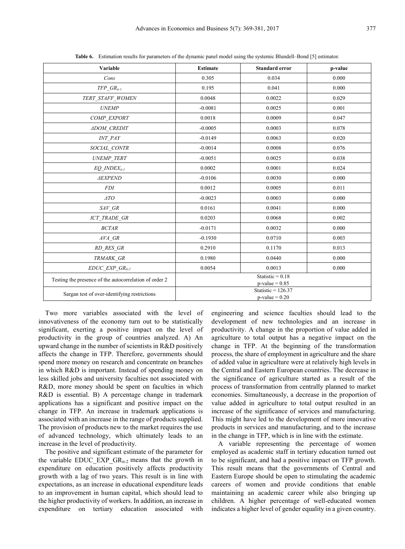| Variable                                               | <b>Estimate</b>                           | <b>Standard error</b> | p-value |  |
|--------------------------------------------------------|-------------------------------------------|-----------------------|---------|--|
| Cons                                                   | 0.305                                     | 0.034                 | 0.000   |  |
| $TFP\_GR_{it\text{-}1}$                                | 0.195                                     | 0.041                 | 0.000   |  |
| TERT_STAFF_WOMEN                                       | 0.0048                                    | 0.0022                | 0.029   |  |
| <b>UNEMP</b>                                           | $-0.0081$                                 | 0.0025                | 0.001   |  |
| COMP_EXPORT                                            | 0.0018                                    | 0.0009                | 0.047   |  |
| <b>ADOM CREDIT</b>                                     | $-0.0005$                                 | 0.0003                | 0.078   |  |
| <b>INT PAY</b>                                         | $-0.0149$                                 | 0.0063                | 0.020   |  |
| SOCIAL_CONTR                                           | $-0.0014$                                 | 0.0008                | 0.076   |  |
| UNEMP_TERT                                             | $-0.0051$                                 | 0.0025                | 0.038   |  |
| $EQ$ INDEX $_{it-l}$                                   | 0.0002                                    | 0.0001                | 0.024   |  |
| <b>AEXPEND</b>                                         | $-0.0106$                                 | 0.0030                | 0.000   |  |
| <b>FDI</b>                                             | 0.0012                                    | 0.0005                | 0.011   |  |
| $\triangle$ TO                                         | $-0.0023$                                 | 0.0003                | 0.000   |  |
| $SAV$ <sub>_</sub> $GR$                                | 0.0161                                    | 0.0041                | 0.000   |  |
| ICT_TRADE_GR                                           | 0.0203                                    | 0.0068                | 0.002   |  |
| <b>BCTAR</b>                                           | $-0.0171$                                 | 0.0032                | 0.000   |  |
| $AVA$ <sub><math>-</math></sub> $GR$                   | $-0.1930$                                 | 0.0710                | 0.003   |  |
| $RD\_RES\_GR$                                          | 0.2910                                    | 0.1170                | 0.013   |  |
| TRMARK_GR                                              | 0.1980                                    | 0.0440                | 0.000   |  |
| $EDUC\_EXP\_GR_{it-2}$                                 | 0.0054                                    | 0.0013                | 0.000   |  |
| Testing the presence of the autocorrelation of order 2 | Statistic = $0.18$<br>$p-value = 0.85$    |                       |         |  |
| Sargan test of over-identifying restrictions           | Statistic = $126.37$<br>$p$ -value = 0.20 |                       |         |  |

**Table 6.** Estimation results for parameters of the dynamic panel model using the systemic Blundell–Bond [5] estimator.

Two more variables associated with the level of innovativeness of the economy turn out to be statistically significant, exerting a positive impact on the level of productivity in the group of countries analyzed. A) An upward change in the number of scientists in R&D positively affects the change in TFP. Therefore, governments should spend more money on research and concentrate on branches in which R&D is important. Instead of spending money on less skilled jobs and university faculties not associated with R&D, more money should be spent on faculties in which R&D is essential. B) A percentage change in trademark applications has a significant and positive impact on the change in TFP. An increase in trademark applications is associated with an increase in the range of products supplied. The provision of products new to the market requires the use of advanced technology, which ultimately leads to an increase in the level of productivity.

The positive and significant estimate of the parameter for the variable EDUC EXP  $GR_{it-2}$  means that the growth in expenditure on education positively affects productivity growth with a lag of two years. This result is in line with expectations, as an increase in educational expenditure leads to an improvement in human capital, which should lead to the higher productivity of workers. In addition, an increase in expenditure on tertiary education associated with

engineering and science faculties should lead to the development of new technologies and an increase in productivity. A change in the proportion of value added in agriculture to total output has a negative impact on the change in TFP. At the beginning of the transformation process, the share of employment in agriculture and the share of added value in agriculture were at relatively high levels in the Central and Eastern European countries. The decrease in the significance of agriculture started as a result of the process of transformation from centrally planned to market economies. Simultaneously, a decrease in the proportion of value added in agriculture to total output resulted in an increase of the significance of services and manufacturing. This might have led to the development of more innovative products in services and manufacturing, and to the increase in the change in TFP, which is in line with the estimate.

A variable representing the percentage of women employed as academic staff in tertiary education turned out to be significant, and had a positive impact on TFP growth. This result means that the governments of Central and Eastern Europe should be open to stimulating the academic careers of women and provide conditions that enable maintaining an academic career while also bringing up children. A higher percentage of well-educated women indicates a higher level of gender equality in a given country.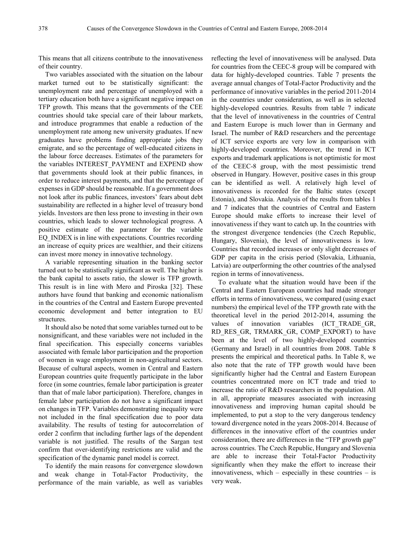This means that all citizens contribute to the innovativeness of their country.

Two variables associated with the situation on the labour market turned out to be statistically significant: the unemployment rate and percentage of unemployed with a tertiary education both have a significant negative impact on TFP growth. This means that the governments of the CEE countries should take special care of their labour markets, and introduce programmes that enable a reduction of the unemployment rate among new university graduates. If new graduates have problems finding appropriate jobs they emigrate, and so the percentage of well-educated citizens in the labour force decreases. Estimates of the parameters for the variables INTEREST\_PAYMENT and EXPEND show that governments should look at their public finances, in order to reduce interest payments, and that the percentage of expenses in GDP should be reasonable. If a government does not look after its public finances, investors' fears about debt sustainability are reflected in a higher level of treasury bond yields. Investors are then less prone to investing in their own countries, which leads to slower technological progress. A positive estimate of the parameter for the variable EQ\_INDEX is in line with expectations. Countries recording an increase of equity prices are wealthier, and their citizens can invest more money in innovative technology.

A variable representing situation in the banking sector turned out to be statistically significant as well. The higher is the bank capital to assets ratio, the slower is TFP growth. This result is in line with Mero and Piroska [32]. These authors have found that banking and economic nationalism in the countries of the Central and Eastern Europe prevented economic development and better integration to EU structures.

It should also be noted that some variables turned out to be nonsignificant, and these variables were not included in the final specification. This especially concerns variables associated with female labor participation and the proportion of women in wage employment in non-agricultural sectors. Because of cultural aspects, women in Central and Eastern European countries quite frequently participate in the labor force (in some countries, female labor participation is greater than that of male labor participation). Therefore, changes in female labor participation do not have a significant impact on changes in TFP. Variables demonstrating inequality were not included in the final specification due to poor data availability. The results of testing for autocorrelation of order 2 confirm that including further lags of the dependent variable is not justified. The results of the Sargan test confirm that over-identifying restrictions are valid and the specification of the dynamic panel model is correct.

To identify the main reasons for convergence slowdown and weak change in Total-Factor Productivity, the performance of the main variable, as well as variables reflecting the level of innovativeness will be analysed. Data for countries from the CEEC-8 group will be compared with data for highly-developed countries. Table 7 presents the average annual changes of Total-Factor Productivity and the performance of innovative variables in the period 2011-2014 in the countries under consideration, as well as in selected highly-developed countries. Results from table 7 indicate that the level of innovativeness in the countries of Central and Eastern Europe is much lower than in Germany and Israel. The number of R&D researchers and the percentage of ICT service exports are very low in comparison with highly-developed countries. Moreover, the trend in ICT exports and trademark applications is not optimistic for most of the CEEC-8 group, with the most pessimistic trend observed in Hungary. However, positive cases in this group can be identified as well. A relatively high level of innovativeness is recorded for the Baltic states (except Estonia), and Slovakia. Analysis of the results from tables 1 and 7 indicates that the countries of Central and Eastern Europe should make efforts to increase their level of innovativeness if they want to catch up. In the countries with the strongest divergence tendencies (the Czech Republic, Hungary, Slovenia), the level of innovativeness is low. Countries that recorded increases or only slight decreases of GDP per capita in the crisis period (Slovakia, Lithuania, Latvia) are outperforming the other countries of the analysed region in terms of innovativeness.

To evaluate what the situation would have been if the Central and Eastern European countries had made stronger efforts in terms of innovativeness, we compared (using exact numbers) the empirical level of the TFP growth rate with the theoretical level in the period 2012-2014, assuming the values of innovation variables (ICT\_TRADE\_GR, RD\_RES\_GR, TRMARK\_GR, COMP\_EXPORT) to have been at the level of two highly-developed countries (Germany and Israel) in all countries from 2008. Table 8 presents the empirical and theoretical paths. In Table 8, we also note that the rate of TFP growth would have been significantly higher had the Central and Eastern European countries concentrated more on ICT trade and tried to increase the ratio of R&D researchers in the population. All in all, appropriate measures associated with increasing innovativeness and improving human capital should be implemented, to put a stop to the very dangerous tendency toward divergence noted in the years 2008-2014. Because of differences in the innovative effort of the countries under consideration, there are differences in the "TFP growth gap" across countries. The Czech Republic, Hungary and Slovenia are able to increase their Total-Factor Productivity significantly when they make the effort to increase their innovativeness, which – especially in these countries – is very weak.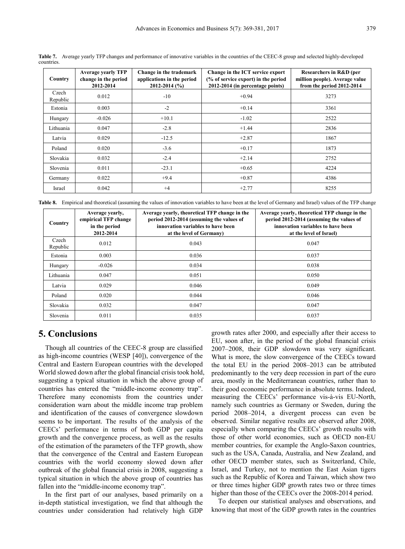| Country           | <b>Average yearly TFP</b><br>change in the period<br>2012-2014 | Change in the trademark<br>applications in the period<br>$2012 - 2014$ (%) | Change in the ICT service export<br>(% of service export) in the period<br>2012-2014 (in percentage points) | Researchers in R&D (per<br>million people). Average value<br>from the period 2012-2014 |
|-------------------|----------------------------------------------------------------|----------------------------------------------------------------------------|-------------------------------------------------------------------------------------------------------------|----------------------------------------------------------------------------------------|
| Czech<br>Republic | 0.012                                                          | $-10$                                                                      | $+0.94$                                                                                                     | 3273                                                                                   |
| Estonia           | 0.003                                                          | $-2$                                                                       | $+0.14$                                                                                                     | 3361                                                                                   |
| Hungary           | $-0.026$                                                       | $+10.1$                                                                    | $-1.02$                                                                                                     | 2522                                                                                   |
| Lithuania         | 0.047                                                          | $-2.8$                                                                     | $+1.44$                                                                                                     | 2836                                                                                   |
| Latvia            | 0.029                                                          | $-12.5$                                                                    | $+2.87$                                                                                                     | 1867                                                                                   |
| Poland            | 0.020                                                          | $-3.6$                                                                     | $+0.17$                                                                                                     | 1873                                                                                   |
| Slovakia          | 0.032                                                          | $-2.4$                                                                     | $+2.14$                                                                                                     | 2752                                                                                   |
| Slovenia          | 0.011                                                          | $-23.1$                                                                    | $+0.65$                                                                                                     | 4224                                                                                   |
| Germany           | 0.022                                                          | $+9.4$                                                                     | $+0.87$                                                                                                     | 4386                                                                                   |
| Israel            | 0.042                                                          | $+4$                                                                       | $+2.77$                                                                                                     | 8255                                                                                   |

**Table 7.** Average yearly TFP changes and performance of innovative variables in the countries of the CEEC-8 group and selected highly-developed countries.

**Table 8.** Empirical and theoretical (assuming the values of innovation variables to have been at the level of Germany and Israel) values of the TFP change

| Country           | Average yearly,<br>empirical TFP change<br>in the period<br>2012-2014 | Average yearly, theoretical TFP change in the<br>period 2012-2014 (assuming the values of<br>innovation variables to have been<br>at the level of Germany) | Average yearly, theoretical TFP change in the<br>period 2012-2014 (assuming the values of<br>innovation variables to have been<br>at the level of Israel) |
|-------------------|-----------------------------------------------------------------------|------------------------------------------------------------------------------------------------------------------------------------------------------------|-----------------------------------------------------------------------------------------------------------------------------------------------------------|
| Czech<br>Republic | 0.012                                                                 | 0.043                                                                                                                                                      | 0.047                                                                                                                                                     |
| Estonia           | 0.003                                                                 | 0.036                                                                                                                                                      | 0.037                                                                                                                                                     |
| Hungary           | $-0.026$                                                              | 0.034                                                                                                                                                      | 0.038                                                                                                                                                     |
| Lithuania         | 0.047                                                                 | 0.051                                                                                                                                                      | 0.050                                                                                                                                                     |
| Latvia            | 0.029                                                                 | 0.046                                                                                                                                                      | 0.049                                                                                                                                                     |
| Poland            | 0.020                                                                 | 0.044                                                                                                                                                      | 0.046                                                                                                                                                     |
| Slovakia          | 0.032                                                                 | 0.047                                                                                                                                                      | 0.047                                                                                                                                                     |
| Slovenia          | 0.011                                                                 | 0.035                                                                                                                                                      | 0.037                                                                                                                                                     |

## **5. Conclusions**

Though all countries of the CEEC-8 group are classified as high-income countries (WESP [40]), convergence of the Central and Eastern European countries with the developed World slowed down after the global financial crisis took hold, suggesting a typical situation in which the above group of countries has entered the "middle-income economy trap". Therefore many economists from the countries under consideration warn about the middle income trap problem and identification of the causes of convergence slowdown seems to be important. The results of the analysis of the CEECs' performance in terms of both GDP per capita growth and the convergence process, as well as the results of the estimation of the parameters of the TFP growth, show that the convergence of the Central and Eastern European countries with the world economy slowed down after outbreak of the global financial crisis in 2008, suggesting a typical situation in which the above group of countries has fallen into the "middle-income economy trap".

In the first part of our analyses, based primarily on a in-depth statistical investigation, we find that although the countries under consideration had relatively high GDP

growth rates after 2000, and especially after their access to EU, soon after, in the period of the global financial crisis 2007–2008, their GDP slowdown was very significant. What is more, the slow convergence of the CEECs toward the total EU in the period 2008–2013 can be attributed predominantly to the very deep recession in part of the euro area, mostly in the Mediterranean countries, rather than to their good economic performance in absolute terms. Indeed, measuring the CEECs' performance vis-à-vis EU-North, namely such countries as Germany or Sweden, during the period 2008–2014, a divergent process can even be observed. Similar negative results are observed after 2008, especially when comparing the CEECs' growth results with those of other world economies, such as OECD non-EU member countries, for example the Anglo-Saxon countries, such as the USA, Canada, Australia, and New Zealand, and other OECD member states, such as Switzerland, Chile, Israel, and Turkey, not to mention the East Asian tigers such as the Republic of Korea and Taiwan, which show two or three times higher GDP growth rates two or three times higher than those of the CEECs over the 2008-2014 period.

To deepen our statistical analyses and observations, and knowing that most of the GDP growth rates in the countries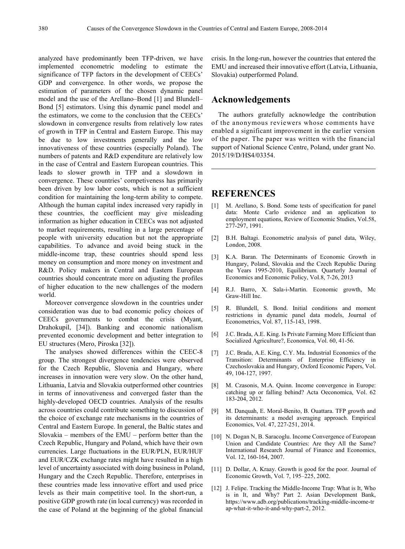analyzed have predominantly been TFP-driven, we have implemented econometric modeling to estimate the significance of TFP factors in the development of CEECs' GDP and convergence. In other words, we propose the estimation of parameters of the chosen dynamic panel model and the use of the Arellano–Bond [1] and Blundell– Bond [5] estimators. Using this dynamic panel model and the estimators, we come to the conclusion that the CEECs' slowdown in convergence results from relatively low rates of growth in TFP in Central and Eastern Europe. This may be due to low investments generally and the low innovativeness of these countries (especially Poland). The numbers of patents and R&D expenditure are relatively low in the case of Central and Eastern European countries. This leads to slower growth in TFP and a slowdown in convergence. These countries' competiveness has primarily been driven by low labor costs, which is not a sufficient condition for maintaining the long-term ability to compete. Although the human capital index increased very rapidly in these countries, the coefficient may give misleading information as higher education in CEECs was not adjusted to market requirements, resulting in a large percentage of people with university education but not the appropriate capabilities. To advance and avoid being stuck in the middle-income trap, these countries should spend less money on consumption and more money on investment and R&D. Policy makers in Central and Eastern European countries should concentrate more on adjusting the profiles of higher education to the new challenges of the modern world.

Moreover convergence slowdown in the countries under consideration was due to bad economic policy choices of CEECs governments to combat the crisis (Myant, Drahokupil, [34]). Banking and economic nationalism prevented economic development and better integration to EU structures (Mero, Piroska [32]).

The analyses showed differences within the CEEC-8 group. The strongest divergence tendencies were observed for the Czech Republic, Slovenia and Hungary, where increases in innovation were very slow. On the other hand, Lithuania, Latvia and Slovakia outperformed other countries in terms of innovativeness and converged faster than the highly-developed OECD countries. Analysis of the results across countries could contribute something to discussion of the choice of exchange rate mechanisms in the countries of Central and Eastern Europe. In general, the Baltic states and Slovakia – members of the EMU – perform better than the Czech Republic, Hungary and Poland, which have their own currencies. Large fluctuations in the EUR/PLN, EUR/HUF and EUR/CZK exchange rates might have resulted in a high level of uncertainty associated with doing business in Poland, Hungary and the Czech Republic. Therefore, enterprises in these countries made less innovative effort and used price levels as their main competitive tool. In the short-run, a positive GDP growth rate (in local currency) was recorded in the case of Poland at the beginning of the global financial

crisis. In the long-run, however the countries that entered the EMU and increased their innovative effort (Latvia, Lithuania, Slovakia) outperformed Poland.

### **Acknowledgements**

The authors gratefully acknowledge the contribution of the anonymous reviewers whose comments have enabled a significant improvement in the earlier version of the paper. The paper was written with the financial support of National Science Centre, Poland, under grant No. 2015/19/D/HS4/03354.

### **REFERENCES**

- [1] M. Arellano, S. Bond. Some tests of specification for panel data: Monte Carlo evidence and an application to employment equations, Review of Economic Studies, Vol.58, 277-297, 1991.
- [2] B.H. Baltagi. Econometric analysis of panel data, Wiley, London, 2008.
- [3] K.A. Baran. The Determinants of Economic Growth in Hungary, Poland, Slovakia and the Czech Republic During the Years 1995-2010, Equilibrium. Quarterly Journal of Economics and Economic Policy, Vol.8, 7-26, 2013
- [4] R.J. Barro, X. Sala-i-Martin. Economic growth, Mc Graw-Hill Inc.
- [5] R. Blundell, S. Bond. Initial conditions and moment restrictions in dynamic panel data models, Journal of Econometrics, Vol. 87, 115-143, 1998.
- [6] J.C. Brada, A.E. King. Is Private Farming More Efficient than Socialized Agriculture?, Economica, Vol. 60, 41-56.
- [7] J.C. Brada, A.E. King, C.Y. Ma. Industrial Economics of the Transition: Determinants of Enterprise Efficiency in Czechoslovakia and Hungary, Oxford Economic Papers, Vol. 49, 104-127, 1997.
- [8] M. Czasonis, M.A. Quinn. Income convergence in Europe: catching up or falling behind? Acta Oeconomica, Vol. 62 183-204, 2012.
- [9] M. Danquah, E. Moral-Benito, B. Ouattara. TFP growth and its determinants: a model averaging approach. Empirical Economics, Vol. 47, 227-251, 2014.
- [10] N. Dogan N, B. Saracoglu. Income Convergence of European Union and Candidate Countries: Are they All the Same? International Research Journal of Finance and Economics, Vol. 12, 160-164, 2007.
- [11] D. Dollar, A. Kraay. Growth is good for the poor. Journal of Economic Growth, Vol. 7, 195–225, 2002.
- [12] J. Felipe. Tracking the Middle-Income Trap: What is It, Who is in It, and Why? Part 2. Asian Development Bank, https://www.adb.org/publications/tracking-middle-income-tr ap-what-it-who-it-and-why-part-2, 2012.